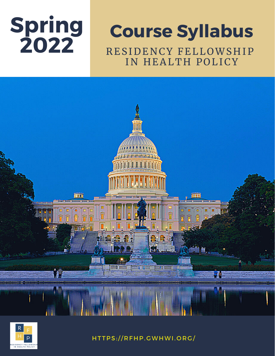

# **2022** <sup>R</sup> ES IDENCY FELL OWS <sup>H</sup> IP IN HEALTH POLICY **Course Syllabus**





HT TPS:// R FHP. GWHWI. O R G /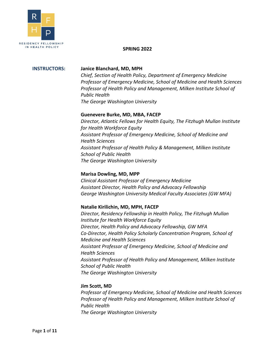

#### **SPRING 2022**

#### **INSTRUCTORS: Janice Blanchard, MD, MPH**

*Chief, Section of Health Policy, Department of Emergency Medicine Professor of Emergency Medicine, School of Medicine and Health Sciences Professor of Health Policy and Management, Milken Institute School of Public Health The George Washington University*

#### **Guenevere Burke, MD, MBA, FACEP**

*Director, Atlantic Fellows for Health Equity, The Fitzhugh Mullan Institute for Health Workforce Equity Assistant Professor of Emergency Medicine, School of Medicine and Health Sciences Assistant Professor of Health Policy & Management, Milken Institute School of Public Health The George Washington University*

#### **Marisa Dowling, MD, MPP**

*Clinical Assistant Professor of Emergency Medicine Assistant Director, Health Policy and Advocacy Fellowship George Washington University Medical Faculty Associates (GW MFA)*

#### **Natalie Kirilichin, MD, MPH, FACEP**

*Director, Residency Fellowship in Health Policy, The Fitzhugh Mullan Institute for Health Workforce Equity Director, Health Policy and Advocacy Fellowship, GW MFA Co-Director, Health Policy Scholarly Concentration Program, School of Medicine and Health Sciences Assistant Professor of Emergency Medicine, School of Medicine and Health Sciences Assistant Professor of Health Policy and Management, Milken Institute School of Public Health The George Washington University*

#### **Jim Scott, MD**

*Professor of Emergency Medicine, School of Medicine and Health Sciences Professor of Health Policy and Management, Milken Institute School of Public Health The George Washington University*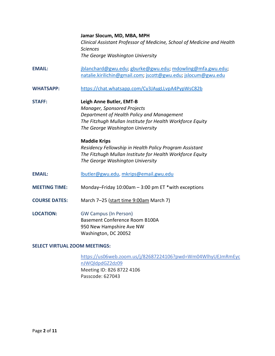**Jamar Slocum, MD, MBA, MPH** *Clinical Assistant Professor of Medicine, School of Medicine and Health Sciences The George Washington University*

- **EMAIL:** [jblanchard@gwu.edu;](mailto:jblanchard@gwu.edu) [gburke@gwu.edu;](mailto:gburke@gwu.edu) [mdowling@mfa.gwu.edu;](mailto:mdowling@mfa.gwu.edu) [natalie.kirilichin@gmail.com;](mailto:natalie.kirilichin@gmail.com) [jscott@gwu.edu;](mailto:jscott@gwu.edu) [jslocum@gwu.edu](mailto:jslocum@gwu.edu)
- **WHATSAPP:** <https://chat.whatsapp.com/Cy3JAygLLvpA4PypWsC82b>
- **STAFF: Leigh Anne Butler, EMT-B** *Manager, Sponsored Projects Department of Health Policy and Management The Fitzhugh Mullan Institute for Health Workforce Equity The George Washington University*

# **Maddie Krips** *Residency Fellowship in Health Policy Program Assistant The Fitzhugh Mullan Institute for Health Workforce Equity*

- **EMAIL:** [lbutler@gwu.edu,](mailto:lbutler@gwu.edu) [mkrips@email.gwu.edu](mailto:mkrips@email.gwu.edu)
- **MEETING TIME:** Monday–Friday 10:00am 3:00 pm ET \*with exceptions

*The George Washington University*

- **COURSE DATES:** March 7–25 (start time 9:00am March 7)
- **LOCATION:** GW Campus (In Person) Basement Conference Room B100A 950 New Hampshire Ave NW Washington, DC 20052

#### **SELECT VIRTUAL ZOOM MEETINGS:**

[https://us06web.zoom.us/j/82687224106?pwd=Wm04WlhyUEJmRmEyc](https://www.google.com/url?q=https%3A%2F%2Fus06web.zoom.us%2Fj%2F82687224106%3Fpwd%3DWm04WlhyUEJmRmEycnJWQldpdGZ2dz09&sa=D&source=calendar&usd=2&usg=AOvVaw00N7YluZBIXXzaBjNXeuS6) [nJWQldpdGZ2dz09](https://www.google.com/url?q=https%3A%2F%2Fus06web.zoom.us%2Fj%2F82687224106%3Fpwd%3DWm04WlhyUEJmRmEycnJWQldpdGZ2dz09&sa=D&source=calendar&usd=2&usg=AOvVaw00N7YluZBIXXzaBjNXeuS6) Meeting ID: 826 8722 4106 Passcode: 627043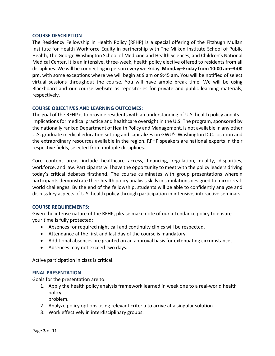#### **COURSE DESCRIPTION**

The Residency Fellowship in Health Policy (RFHP) is a special offering of the Fitzhugh Mullan Institute for Health Workforce Equity in partnership with The Milken Institute School of Public Health, The George Washington School of Medicine and Health Sciences, and Children's National Medical Center. It is an intensive, three-week, health policy elective offered to residents from all disciplines. We will be connecting in person every weekday, **Monday–Friday from 10:00 am–3:00 pm**, with some exceptions where we will begin at 9 am or 9:45 am. You will be notified of select virtual sessions throughout the course. You will have ample break time. We will be using Blackboard and our course website as repositories for private and public learning materials, respectively.

#### **COURSE OBJECTIVES AND LEARNING OUTCOMES:**

The goal of the RFHP is to provide residents with an understanding of U.S. health policy and its implications for medical practice and healthcare oversight in the U.S. The program, sponsored by the nationally ranked Department of Health Policy and Management, is not available in any other U.S. graduate medical education setting and capitalizes on GWU's Washington D.C. location and the extraordinary resources available in the region. RFHP speakers are national experts in their respective fields, selected from multiple disciplines.

Core content areas include healthcare access, financing, regulation, quality, disparities, workforce, and law. Participants will have the opportunity to meet with the policy leaders driving today's critical debates firsthand. The course culminates with group presentations wherein participants demonstrate their health policy analysis skills in simulations designed to mirror realworld challenges. By the end of the fellowship, students will be able to confidently analyze and discuss key aspects of U.S. health policy through participation in intensive, interactive seminars.

#### **COURSE REQUIREMENTS:**

Given the intense nature of the RFHP, please make note of our attendance policy to ensure your time is fully protected:

- Absences for required night call and continuity clinics will be respected.
- Attendance at the first and last day of the course is mandatory.
- Additional absences are granted on an approval basis for extenuating circumstances.
- Absences may not exceed two days.

Active participation in class is critical.

#### **FINAL PRESENTATION**

Goals for the presentation are to:

1. Apply the health policy analysis framework learned in week one to a real-world health policy

problem.

- 2. Analyze policy options using relevant criteria to arrive at a singular solution.
- 3. Work effectively in interdisciplinary groups.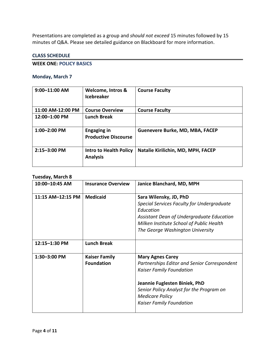Presentations are completed as a group and *should not exceed* 15 minutes followed by 15 minutes of Q&A. Please see detailed guidance on Blackboard for more information.

#### **CLASS SCHEDULE**

#### **WEEK ONE: POLICY BASICS**

### **Monday, March 7**

| $9:00 - 11:00$ AM | Welcome, Intros &<br><b>Icebreaker</b>            | <b>Course Faculty</b>              |
|-------------------|---------------------------------------------------|------------------------------------|
| 11:00 AM-12:00 PM | <b>Course Overview</b>                            | <b>Course Faculty</b>              |
| 12:00-1:00 PM     | <b>Lunch Break</b>                                |                                    |
| $1:00 - 2:00$ PM  | <b>Engaging in</b><br><b>Productive Discourse</b> | Guenevere Burke, MD, MBA, FACEP    |
| 2:15-3:00 PM      | <b>Intro to Health Policy</b><br><b>Analysis</b>  | Natalie Kirilichin, MD, MPH, FACEP |

#### **Tuesday, March 8**

| 10:00-10:45 AM    | <b>Insurance Overview</b>                 | Janice Blanchard, MD, MPH                                                                                                                                                                                                                            |
|-------------------|-------------------------------------------|------------------------------------------------------------------------------------------------------------------------------------------------------------------------------------------------------------------------------------------------------|
| 11:15 AM-12:15 PM | <b>Medicaid</b>                           | Sara Wilensky, JD, PhD<br>Special Services Faculty for Undergraduate<br>Education<br>Assistant Dean of Undergraduate Education<br>Milken Institute School of Public Health                                                                           |
| 12:15-1:30 PM     | <b>Lunch Break</b>                        | The George Washington University                                                                                                                                                                                                                     |
| 1:30-3:00 PM      | <b>Kaiser Family</b><br><b>Foundation</b> | <b>Mary Agnes Carey</b><br>Partnerships Editor and Senior Correspondent<br><b>Kaiser Family Foundation</b><br>Jeannie Fuglesten Biniek, PhD<br>Senior Policy Analyst for the Program on<br><b>Medicare Policy</b><br><b>Kaiser Family Foundation</b> |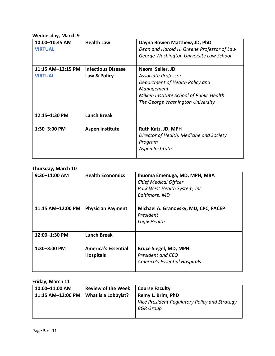# **Wednesday, March 9**

| 10:00-10:45 AM<br><b>VIRTUAL</b> | <b>Health Law</b>         | Dayna Bowen Matthew, JD, PhD<br>Dean and Harold H. Greene Professor of Law<br>George Washington University Law School |
|----------------------------------|---------------------------|-----------------------------------------------------------------------------------------------------------------------|
| 11:15 AM-12:15 PM                | <b>Infectious Disease</b> | Naomi Seiler, JD                                                                                                      |
| <b>VIRTUAL</b>                   | Law & Policy              | Associate Professor                                                                                                   |
|                                  |                           | Department of Health Policy and                                                                                       |
|                                  |                           | Management                                                                                                            |
|                                  |                           | Milken Institute School of Public Health                                                                              |
|                                  |                           | The George Washington University                                                                                      |
| 12:15-1:30 PM                    | <b>Lunch Break</b>        |                                                                                                                       |
| 1:30-3:00 PM                     | <b>Aspen Institute</b>    | Ruth Katz, JD, MPH                                                                                                    |
|                                  |                           | Director of Health, Medicine and Society                                                                              |
|                                  |                           | Program                                                                                                               |
|                                  |                           | Aspen Institute                                                                                                       |
|                                  |                           |                                                                                                                       |

#### **Thursday, March 10**

| 9:30-11:00 AM     | <b>Health Economics</b>                        | Ihuoma Emenuga, MD, MPH, MBA<br><b>Chief Medical Officer</b><br>Park West Health System, Inc.<br>Baltimore, MD |
|-------------------|------------------------------------------------|----------------------------------------------------------------------------------------------------------------|
| 11:15 AM-12:00 PM | <b>Physician Payment</b>                       | Michael A. Granovsky, MD, CPC, FACEP<br>President<br>Logix Health                                              |
| 12:00-1:30 PM     | <b>Lunch Break</b>                             |                                                                                                                |
| $1:30 - 3:00$ PM  | <b>America's Essential</b><br><b>Hospitals</b> | <b>Bruce Siegel, MD, MPH</b><br>President and CEO<br>America's Essential Hospitals                             |

# **Friday, March 11**

| 10:00-11:00 AM                                | <b>Review of the Week</b> | <b>Course Faculty</b>                                             |
|-----------------------------------------------|---------------------------|-------------------------------------------------------------------|
| 11:15 AM-12:00 PM $\vert$ What is a Lobbyist? |                           | Remy L. Brim, PhD                                                 |
|                                               |                           | Vice President Regulatory Policy and Strategy<br><b>BGR Group</b> |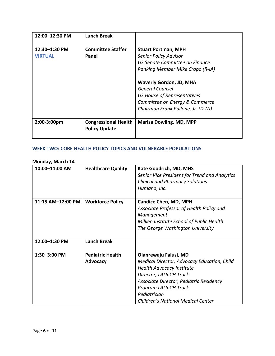| 12:00-12:30 PM                  | <b>Lunch Break</b>                                  |                                                                                                                                                          |
|---------------------------------|-----------------------------------------------------|----------------------------------------------------------------------------------------------------------------------------------------------------------|
| 12:30-1:30 PM<br><b>VIRTUAL</b> | <b>Committee Staffer</b><br>Panel                   | <b>Stuart Portman, MPH</b><br><b>Senior Policy Advisor</b><br>US Senate Committee on Finance<br>Ranking Member Mike Crapo (R-IA)                         |
|                                 |                                                     | <b>Waverly Gordon, JD, MHA</b><br>General Counsel<br>US House of Representatives<br>Committee on Energy & Commerce<br>Chairman Frank Pallone, Jr. (D-NJ) |
| 2:00-3:00pm                     | <b>Congressional Health</b><br><b>Policy Update</b> | <b>Marisa Dowling, MD, MPP</b>                                                                                                                           |

# **WEEK TWO: CORE HEALTH POLICY TOPICS AND VULNERABLE POPULATIONS**

# **Monday, March 14**

| 10:00-11:00 AM    | <b>Healthcare Quality</b>                  | <b>Kate Goodrich, MD, MHS</b><br>Senior Vice President for Trend and Analytics<br><b>Clinical and Pharmacy Solutions</b><br>Humana, Inc.                                                                                                                    |
|-------------------|--------------------------------------------|-------------------------------------------------------------------------------------------------------------------------------------------------------------------------------------------------------------------------------------------------------------|
| 11:15 AM-12:00 PM | <b>Workforce Policy</b>                    | <b>Candice Chen, MD, MPH</b><br>Associate Professor of Health Policy and<br>Management<br>Milken Institute School of Public Health<br>The George Washington University                                                                                      |
| 12:00-1:30 PM     | <b>Lunch Break</b>                         |                                                                                                                                                                                                                                                             |
| 1:30-3:00 PM      | <b>Pediatric Health</b><br><b>Advocacy</b> | Olanrewaju Falusi, MD<br>Medical Director, Advocacy Education, Child<br>Health Advocacy Institute<br>Director, LAUnCH Track<br>Associate Director, Pediatric Residency<br>Program LAUnCH Track<br>Pediatrician<br><b>Children's National Medical Center</b> |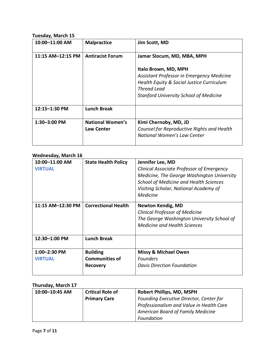# **Tuesday, March 15**

| 10:00-11:00 AM    | <b>Malpractice</b>                           | Jim Scott, MD                                                                                                                                                                         |
|-------------------|----------------------------------------------|---------------------------------------------------------------------------------------------------------------------------------------------------------------------------------------|
| 11:15 AM-12:15 PM | <b>Antiracist Forum</b>                      | Jamar Slocum, MD, MBA, MPH                                                                                                                                                            |
|                   |                                              | Italo Brown, MD, MPH<br>Assistant Professor in Emergency Medicine<br>Health Equity & Social Justice Curriculum<br><b>Thread Lead</b><br><b>Stanford University School of Medicine</b> |
| 12:15-1:30 PM     | <b>Lunch Break</b>                           |                                                                                                                                                                                       |
| 1:30-3:00 PM      | <b>National Women's</b><br><b>Law Center</b> | Kimi Chernoby, MD, JD<br>Counsel for Reproductive Rights and Health<br>National Women's Law Center                                                                                    |

## **Wednesday, March 16**

| 10:00-11:00 AM<br><b>VIRTUAL</b> | <b>State Health Policy</b>                                  | Jennifer Lee, MD<br><b>Clinical Associate Professor of Emergency</b><br>Medicine, The George Washington University<br><b>School of Medicine and Health Sciences</b><br>Visiting Scholar, National Academy of<br><b>Medicine</b> |
|----------------------------------|-------------------------------------------------------------|---------------------------------------------------------------------------------------------------------------------------------------------------------------------------------------------------------------------------------|
| 11:15 AM-12:30 PM                | <b>Correctional Health</b>                                  | <b>Newton Kendig, MD</b><br><b>Clinical Professor of Medicine</b><br>The George Washington University School of<br><b>Medicine and Health Sciences</b>                                                                          |
| 12:30-1:00 PM                    | <b>Lunch Break</b>                                          |                                                                                                                                                                                                                                 |
| 1:00-2:30 PM<br><b>VIRTUAL</b>   | <b>Building</b><br><b>Communities of</b><br><b>Recovery</b> | <b>Missy &amp; Michael Owen</b><br><b>Founders</b><br><b>Davis Direction Foundation</b>                                                                                                                                         |

# **Thursday, March 17**

| 10:00-10:45 AM | <b>Critical Role of</b> | <b>Robert Phillips, MD, MSPH</b>         |
|----------------|-------------------------|------------------------------------------|
|                | <b>Primary Care</b>     | Founding Executive Director, Center for  |
|                |                         | Professionalism and Value in Health Care |
|                |                         | <b>American Board of Family Medicine</b> |
|                |                         | Foundation                               |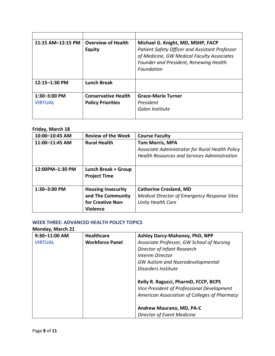| 11:15 AM-12:15 PM | <b>Overview of Health</b><br><b>Equity</b> | Michael G. Knight, MD, MSHP, FACP<br>Patient Safety Officer and Assistant Professor<br>of Medicine, GW Medical Faculty Associates |
|-------------------|--------------------------------------------|-----------------------------------------------------------------------------------------------------------------------------------|
|                   |                                            | Founder and President, Renewing Health<br>Foundation                                                                              |
| $12:15 - 1:30$ PM | <b>Lunch Break</b>                         |                                                                                                                                   |
| 1:30-3:00 PM      | <b>Conservative Health</b>                 | <b>Grace-Marie Turner</b>                                                                                                         |
| <b>VIRTUAL</b>    | <b>Policy Priorities</b>                   | President                                                                                                                         |
|                   |                                            | Galen Institute                                                                                                                   |

# **Friday, March 18**

| 10:00-10:45 AM  | <b>Review of the Week</b>                                                              | <b>Course Faculty</b>                                                                                                            |
|-----------------|----------------------------------------------------------------------------------------|----------------------------------------------------------------------------------------------------------------------------------|
| 11:00-11:45 AM  | <b>Rural Health</b>                                                                    | <b>Tom Morris, MPA</b><br>Associate Administrator for Rural Health Policy<br><b>Health Resources and Services Administration</b> |
| 12:00PM-1:30 PM | Lunch Break + Group<br><b>Project Time</b>                                             |                                                                                                                                  |
| 1:30-3:00 PM    | <b>Housing Insecurity</b><br>and The Community<br>for Creative Non-<br><b>Violence</b> | <b>Catherine Crosland, MD</b><br><b>Medical Director of Emergency Response Sites</b><br>Unity Health Care                        |

#### **WEEK THREE: ADVANCED HEALTH POLICY TOPICS Monday, March 21**

| 9:30-11:00 AM  | <b>Healthcare</b>      | Ashley Darcy-Mahoney, PhD, NPP                                                                                                     |
|----------------|------------------------|------------------------------------------------------------------------------------------------------------------------------------|
| <b>VIRTUAL</b> | <b>Workforce Panel</b> | Associate Professor, GW School of Nursing                                                                                          |
|                |                        | Director of Infant Research                                                                                                        |
|                |                        | Interim Director                                                                                                                   |
|                |                        | <b>GW Autism and Nuerodevelopmental</b>                                                                                            |
|                |                        | Disorders Institute                                                                                                                |
|                |                        | Kelly R. Ragucci, PharmD, FCCP, BCPS<br>Vice President of Professional Development<br>American Association of Colleges of Pharmacy |
|                |                        | Andrew Maurano, MD, PA-C                                                                                                           |
|                |                        | Director of Event Medicine                                                                                                         |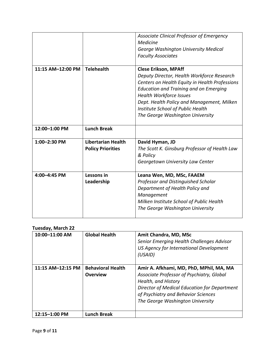|                   |                                                       | Associate Clinical Professor of Emergency<br>Medicine<br>George Washington University Medical<br><b>Faculty Associates</b>                                                                                                                                                                                                            |
|-------------------|-------------------------------------------------------|---------------------------------------------------------------------------------------------------------------------------------------------------------------------------------------------------------------------------------------------------------------------------------------------------------------------------------------|
| 11:15 AM-12:00 PM | <b>Telehealth</b>                                     | <b>Clese Erikson, MPAff</b><br>Deputy Director, Health Workforce Research<br>Centers on Health Equity in Health Professions<br><b>Education and Training and on Emerging</b><br><b>Health Workforce Issues</b><br>Dept. Health Policy and Management, Milken<br>Institute School of Public Health<br>The George Washington University |
| 12:00-1:00 PM     | <b>Lunch Break</b>                                    |                                                                                                                                                                                                                                                                                                                                       |
| 1:00-2:30 PM      | <b>Libertarian Health</b><br><b>Policy Priorities</b> | David Hyman, JD<br>The Scott K. Ginsburg Professor of Health Law<br>& Policy<br>Georgetown University Law Center                                                                                                                                                                                                                      |
| 4:00-4:45 PM      | Lessons in<br>Leadership                              | Leana Wen, MD, MSc, FAAEM<br>Professor and Distinguished Scholar<br>Department of Health Policy and<br>Management<br>Milken Institute School of Public Health<br>The George Washington University                                                                                                                                     |

# **Tuesday, March 22**

| 10:00-11:00 AM    | <b>Global Health</b>                        | Amit Chandra, MD, MSc<br>Senior Emerging Health Challenges Advisor<br>US Agency for International Development<br>(USAID)                                                                                                               |
|-------------------|---------------------------------------------|----------------------------------------------------------------------------------------------------------------------------------------------------------------------------------------------------------------------------------------|
| 11:15 AM-12:15 PM | <b>Behavioral Health</b><br><b>Overview</b> | Amir A. Afkhami, MD, PhD, MPhil, MA, MA<br>Associate Professor of Psychiatry, Global<br>Health, and History<br>Director of Medical Education for Department<br>of Psychiatry and Behavior Sciences<br>The George Washington University |
| $12:15 - 1:00$ PM | <b>Lunch Break</b>                          |                                                                                                                                                                                                                                        |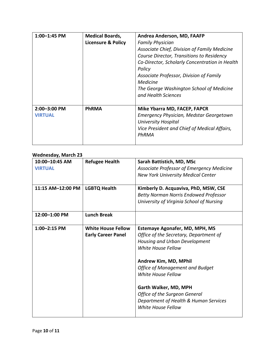| 1:00-1:45 PM                   | <b>Medical Boards,</b><br><b>Licensure &amp; Policy</b> | Andrea Anderson, MD, FAAFP<br><b>Family Physician</b><br>Associate Chief, Division of Family Medicine<br>Course Director, Transitions to Residency<br>Co-Director, Scholarly Concentration in Health<br>Policy<br>Associate Professor, Division of Family<br><b>Medicine</b><br>The George Washington School of Medicine<br>and Health Sciences |
|--------------------------------|---------------------------------------------------------|-------------------------------------------------------------------------------------------------------------------------------------------------------------------------------------------------------------------------------------------------------------------------------------------------------------------------------------------------|
| 2:00-3:00 PM<br><b>VIRTUAL</b> | <b>PhRMA</b>                                            | Mike Ybarra MD, FACEP, FAPCR<br><b>Emergency Physician, Medstar Georgetown</b><br><b>University Hospital</b><br>Vice President and Chief of Medical Affairs,<br>PhRMA                                                                                                                                                                           |

# **Wednesday, March 23**

| 10:00-10:45 AM    | <b>Refugee Health</b>     | Sarah Battistich, MD, MSc                    |
|-------------------|---------------------------|----------------------------------------------|
| <b>VIRTUAL</b>    |                           | Associate Professor of Emergency Medicine    |
|                   |                           | New York University Medical Center           |
|                   |                           |                                              |
| 11:15 AM-12:00 PM | <b>LGBTQ Health</b>       | Kimberly D. Acquaviva, PhD, MSW, CSE         |
|                   |                           | <b>Betty Norman Norris Endowed Professor</b> |
|                   |                           | University of Virginia School of Nursing     |
|                   |                           |                                              |
| 12:00-1:00 PM     | <b>Lunch Break</b>        |                                              |
|                   |                           |                                              |
| 1:00-2:15 PM      | <b>White House Fellow</b> | <b>Estemaye Agonafer, MD, MPH, MS</b>        |
|                   | <b>Early Career Panel</b> | Office of the Secretary, Department of       |
|                   |                           | Housing and Urban Development                |
|                   |                           | White House Fellow                           |
|                   |                           |                                              |
|                   |                           | Andrew Kim, MD, MPhil                        |
|                   |                           | <b>Office of Management and Budget</b>       |
|                   |                           | White House Fellow                           |
|                   |                           |                                              |
|                   |                           | Garth Walker, MD, MPH                        |
|                   |                           | <b>Office of the Surgeon General</b>         |
|                   |                           | Department of Health & Human Services        |
|                   |                           | <b>White House Fellow</b>                    |
|                   |                           |                                              |